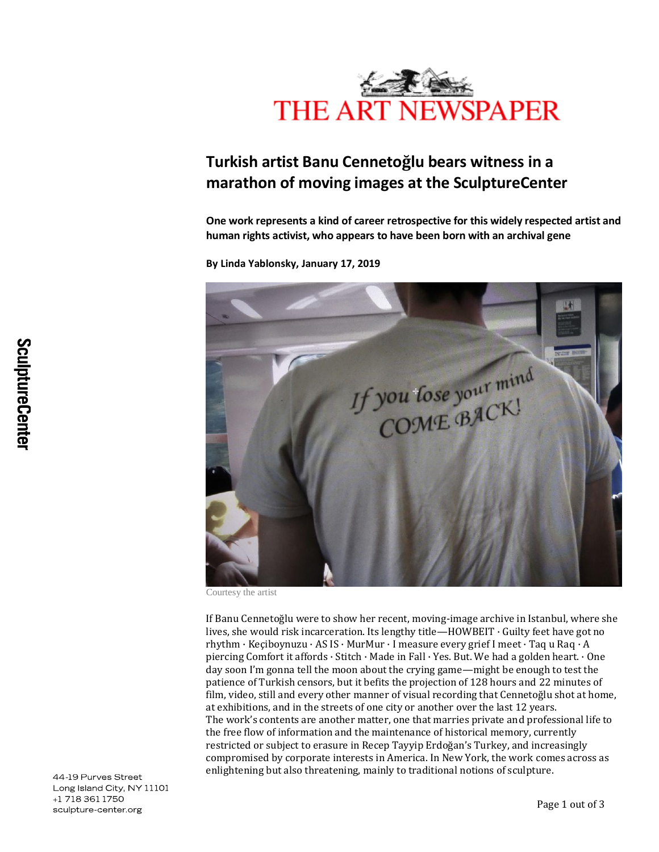

## **Turkish artist Banu Cennetoğlu bears witness in a marathon of moving images at the SculptureCenter**

**One work represents a kind of career retrospective for this widely respected artist and human rights activist, who appears to have been born with an archival gene**

**By Linda Yablonsky, January 17, 2019**



Courtesy the artist

If Banu Cennetoğlu were to show her recent, moving-image archive in Istanbul, where she lives, she would risk incarceration. Its lengthy title—HOWBEIT · Guilty feet have got no rhythm · Keçiboynuzu · AS IS · MurMur · I measure every grief I meet · Taq u Raq · A piercing Comfort it affords · Stitch · Made in Fall · Yes. But. We had a golden heart. · One day soon I'm gonna tell the moon about the crying game—might be enough to test the patience of Turkish censors, but it befits the projection of 128 hours and 22 minutes of film, video, still and every other manner of visual recording that Cennetoğlu shot at home, at exhibitions, and in the streets of one city or another over the last 12 years. The work's contents are another matter, one that marries private and professional life to the free flow of information and the maintenance of historical memory, currently restricted or subject to erasure in Recep Tayyip Erdoğan's Turkey, and increasingly compromised by corporate interests in America. In New York, the work comes across as enlightening but also threatening, mainly to traditional notions of sculpture.

44-19 Purves Street Long Island City, NY 11101 +1 718 361 1750 sculpture-center.org